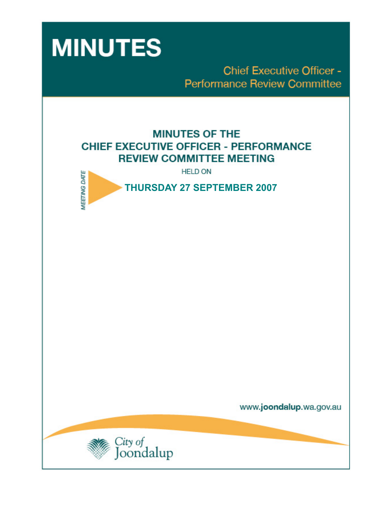

**Chief Executive Officer -Performance Review Committee** 

# **MINUTES OF THE CHIEF EXECUTIVE OFFICER - PERFORMANCE REVIEW COMMITTEE MEETING**

**HELD ON** 



 **THURSDAY 27 SEPTEMBER 2007** 

www.joondalup.wa.gov.au

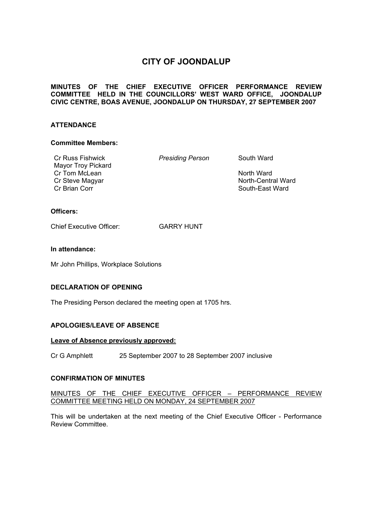# **CITY OF JOONDALUP**

## **MINUTES OF THE CHIEF EXECUTIVE OFFICER PERFORMANCE REVIEW COMMITTEE HELD IN THE COUNCILLORS' WEST WARD OFFICE, JOONDALUP CIVIC CENTRE, BOAS AVENUE, JOONDALUP ON THURSDAY, 27 SEPTEMBER 2007**

## **ATTENDANCE**

#### **Committee Members:**

Cr Russ Fishwick *Presiding Person* South Ward Mayor Troy Pickard Cr Tom McLean North Ward Cr Steve Magyar North-Central Ward Cr Brian Corr South-East Ward

# **Officers:**

Chief Executive Officer: GARRY HUNT

#### **In attendance:**

Mr John Phillips, Workplace Solutions

#### **DECLARATION OF OPENING**

The Presiding Person declared the meeting open at 1705 hrs.

# **APOLOGIES/LEAVE OF ABSENCE**

#### **Leave of Absence previously approved:**

Cr G Amphlett 25 September 2007 to 28 September 2007 inclusive

#### **CONFIRMATION OF MINUTES**

#### MINUTES OF THE CHIEF EXECUTIVE OFFICER – PERFORMANCE REVIEW COMMITTEE MEETING HELD ON MONDAY, 24 SEPTEMBER 2007

This will be undertaken at the next meeting of the Chief Executive Officer - Performance Review Committee.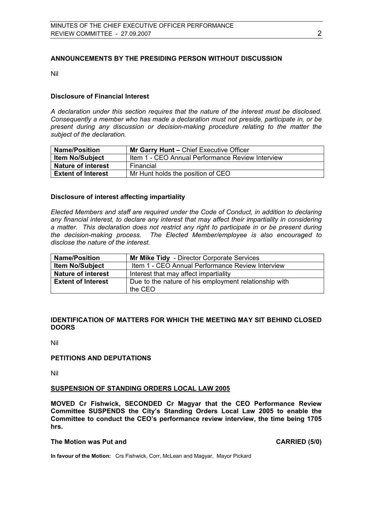# **ANNOUNCEMENTS BY THE PRESIDING PERSON WITHOUT DISCUSSION**

Nil

# **Disclosure of Financial Interest**

*A declaration under this section requires that the nature of the interest must be disclosed. Consequently a member who has made a declaration must not preside, participate in, or be present during any discussion or decision-making procedure relating to the matter the subject of the declaration.* 

| <b>Name/Position</b>      | Mr Garry Hunt - Chief Executive Officer          |  |
|---------------------------|--------------------------------------------------|--|
| <b>Item No/Subject</b>    | Item 1 - CEO Annual Performance Review Interview |  |
| <b>Nature of interest</b> | Financial                                        |  |
| <b>Extent of Interest</b> | Mr Hunt holds the position of CEO                |  |

# **Disclosure of interest affecting impartiality**

*Elected Members and staff are required under the Code of Conduct, in addition to declaring any financial interest, to declare any interest that may affect their impartiality in considering a matter. This declaration does not restrict any right to participate in or be present during the decision-making process. The Elected Member/employee is also encouraged to disclose the nature of the interest.* 

| <b>Name/Position</b>      | Mr Mike Tidy - Director Corporate Services                       |  |
|---------------------------|------------------------------------------------------------------|--|
| <b>Item No/Subject</b>    | Item 1 - CEO Annual Performance Review Interview                 |  |
| <b>Nature of interest</b> | Interest that may affect impartiality                            |  |
| <b>Extent of Interest</b> | Due to the nature of his employment relationship with<br>the CEO |  |

# **IDENTIFICATION OF MATTERS FOR WHICH THE MEETING MAY SIT BEHIND CLOSED DOORS**

Nil

#### **PETITIONS AND DEPUTATIONS**

Nil

# **SUSPENSION OF STANDING ORDERS LOCAL LAW 2005**

**MOVED Cr Fishwick, SECONDED Cr Magyar that the CEO Performance Review Committee SUSPENDS the City's Standing Orders Local Law 2005 to enable the Committee to conduct the CEO's performance review interview, the time being 1705 hrs.** 

#### **The Motion was Put and CARRIED (5/0) CARRIED** (5/0)

**In favour of the Motion:** Crs Fishwick, Corr, McLean and Magyar, Mayor Pickard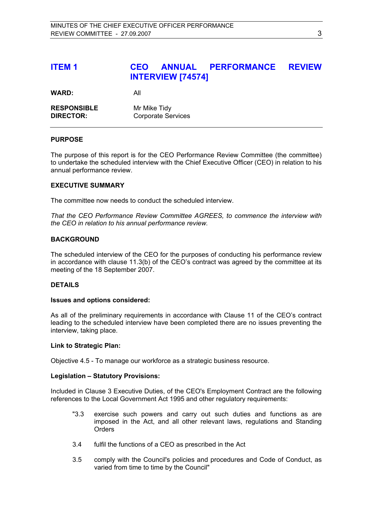# **ITEM 1 CEO ANNUAL PERFORMANCE REVIEW INTERVIEW [74574]**

WARD: All

| <b>RESPONSIBLE</b> | Mr Mike Tidy              |
|--------------------|---------------------------|
| <b>DIRECTOR:</b>   | <b>Corporate Services</b> |

#### **PURPOSE**

The purpose of this report is for the CEO Performance Review Committee (the committee) to undertake the scheduled interview with the Chief Executive Officer (CEO) in relation to his annual performance review.

#### **EXECUTIVE SUMMARY**

The committee now needs to conduct the scheduled interview.

*That the CEO Performance Review Committee AGREES, to commence the interview with the CEO in relation to his annual performance review.* 

#### **BACKGROUND**

The scheduled interview of the CEO for the purposes of conducting his performance review in accordance with clause 11.3(b) of the CEO's contract was agreed by the committee at its meeting of the 18 September 2007.

#### **DETAILS**

#### **Issues and options considered:**

As all of the preliminary requirements in accordance with Clause 11 of the CEO's contract leading to the scheduled interview have been completed there are no issues preventing the interview, taking place.

#### **Link to Strategic Plan:**

Objective 4.5 - To manage our workforce as a strategic business resource.

#### **Legislation – Statutory Provisions:**

Included in Clause 3 Executive Duties, of the CEO's Employment Contract are the following references to the Local Government Act 1995 and other regulatory requirements:

- "3.3 exercise such powers and carry out such duties and functions as are imposed in the Act, and all other relevant laws, regulations and Standing **Orders**
- 3.4 fulfil the functions of a CEO as prescribed in the Act
- 3.5 comply with the Council's policies and procedures and Code of Conduct, as varied from time to time by the Council"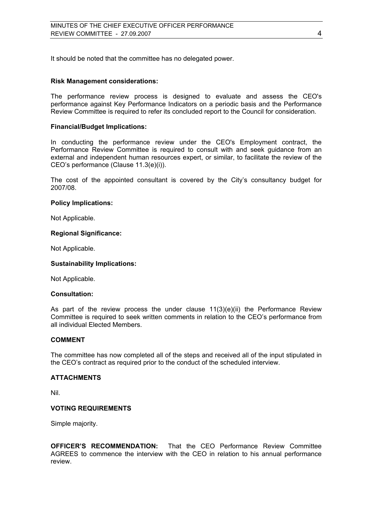It should be noted that the committee has no delegated power.

#### **Risk Management considerations:**

The performance review process is designed to evaluate and assess the CEO's performance against Key Performance Indicators on a periodic basis and the Performance Review Committee is required to refer its concluded report to the Council for consideration.

#### **Financial/Budget Implications:**

In conducting the performance review under the CEO's Employment contract, the Performance Review Committee is required to consult with and seek guidance from an external and independent human resources expert, or similar, to facilitate the review of the CEO's performance (Clause 11.3(e)(i)).

The cost of the appointed consultant is covered by the City's consultancy budget for 2007/08.

#### **Policy Implications:**

Not Applicable.

#### **Regional Significance:**

Not Applicable.

#### **Sustainability Implications:**

Not Applicable.

#### **Consultation:**

As part of the review process the under clause  $11(3)(e)(ii)$  the Performance Review Committee is required to seek written comments in relation to the CEO's performance from all individual Elected Members.

#### **COMMENT**

The committee has now completed all of the steps and received all of the input stipulated in the CEO's contract as required prior to the conduct of the scheduled interview.

#### **ATTACHMENTS**

Nil.

#### **VOTING REQUIREMENTS**

Simple majority.

**OFFICER'S RECOMMENDATION:** That the CEO Performance Review Committee AGREES to commence the interview with the CEO in relation to his annual performance review.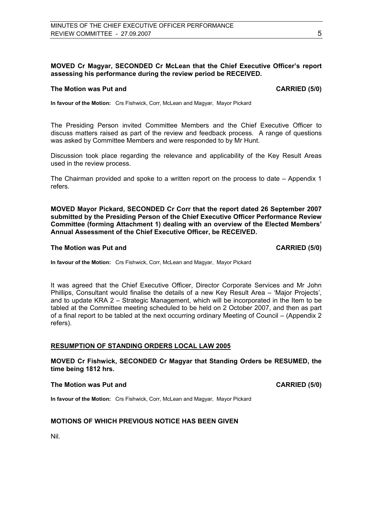# **MOVED Cr Magyar, SECONDED Cr McLean that the Chief Executive Officer's report assessing his performance during the review period be RECEIVED.**

#### **The Motion was Put and CARRIED (5/0) CARRIED (5/0)**

**In favour of the Motion:** Crs Fishwick, Corr, McLean and Magyar, Mayor Pickard

The Presiding Person invited Committee Members and the Chief Executive Officer to discuss matters raised as part of the review and feedback process. A range of questions was asked by Committee Members and were responded to by Mr Hunt.

Discussion took place regarding the relevance and applicability of the Key Result Areas used in the review process.

The Chairman provided and spoke to a written report on the process to date – Appendix 1 refers.

**MOVED Mayor Pickard, SECONDED Cr Corr that the report dated 26 September 2007 submitted by the Presiding Person of the Chief Executive Officer Performance Review Committee (forming Attachment 1) dealing with an overview of the Elected Members' Annual Assessment of the Chief Executive Officer, be RECEIVED.** 

#### **The Motion was Put and CARRIED (5/0) CARRIED (5/0)**

**In favour of the Motion:** Crs Fishwick, Corr, McLean and Magyar, Mayor Pickard

It was agreed that the Chief Executive Officer, Director Corporate Services and Mr John Phillips, Consultant would finalise the details of a new Key Result Area – 'Major Projects', and to update KRA 2 – Strategic Management, which will be incorporated in the Item to be tabled at the Committee meeting scheduled to be held on 2 October 2007, and then as part of a final report to be tabled at the next occurring ordinary Meeting of Council – (Appendix 2 refers).

#### **RESUMPTION OF STANDING ORDERS LOCAL LAW 2005**

**MOVED Cr Fishwick, SECONDED Cr Magyar that Standing Orders be RESUMED, the time being 1812 hrs.**

#### **The Motion was Put and CARRIED (5/0) CARRIED** (5/0)

**In favour of the Motion:** Crs Fishwick, Corr, McLean and Magyar, Mayor Pickard

## **MOTIONS OF WHICH PREVIOUS NOTICE HAS BEEN GIVEN**

Nil.